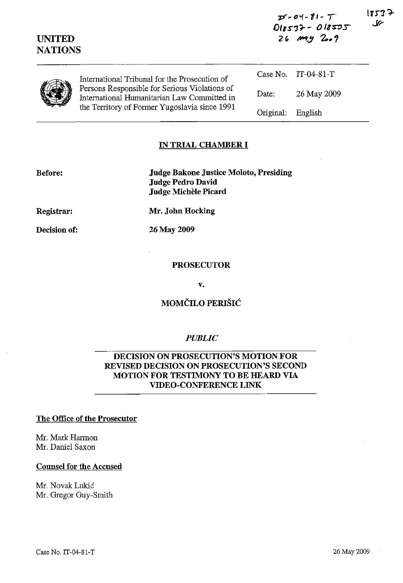| <b>UNITED</b><br><b>NATIONS</b> |                                                                                                                                               | $018577 - 018575$<br>$26$ $m + y$ $200$ |                     | حك |
|---------------------------------|-----------------------------------------------------------------------------------------------------------------------------------------------|-----------------------------------------|---------------------|----|
|                                 | International Tribunal for the Prosecution of                                                                                                 |                                         | Case No. IT-04-81-T |    |
|                                 | Persons Responsible for Serious Violations of<br>International Humanitarian Law Committed in<br>the Territory of Former Yugoslavia since 1991 | Date:                                   | 26 May 2009         |    |
|                                 |                                                                                                                                               | Original:                               | English             |    |

**pd'''l-11-** *T* 

 $1823$   $\rightarrow$ 

#### **IN TRIAL CHAMBER I**

**Before:** 

**Judge Bakone Justice Moloto, Presiding Judge Pedro David Judge Michele Picard** 

**Registrar:** 

**Decision of:** 

**Mr. John Hocking** 

26 May 2009

## **PROSECUTOR**

v.

# **MOMČILO PERIŠIĆ**

### *PUBLIC*

## **DECISION ON PROSECUTION'S MOTION FOR REVISED DECISION ON PROSECUTION'S SECOND MOTION FOR TESTIMONY TO BE HEARD VIA VIDEO-CONFERENCE LINK**

#### **The Office of the Prosecutor**

Mr. Mark Harmon Mr. Daniel Saxon

#### **Counsel for the Accused**

Mr. Novak Lukić Mr. Gregor Guy-Smith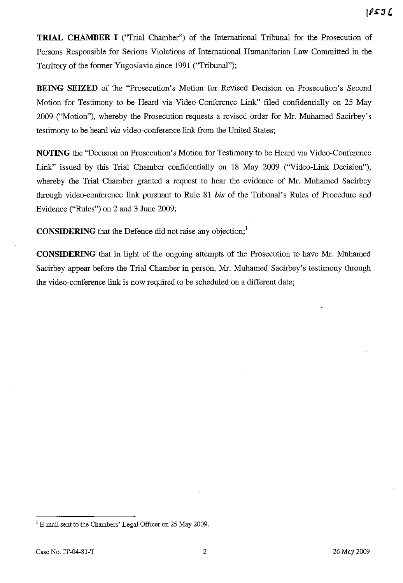**TRIAL CHAMBER I** ("Trial Chamber") of the International Tribunal for the Prosecution of Persons Responsible for Serious Violations of International Humanitarian Law Committed in the Territory of the fonner Yugoslavia since 1991 ("Tribunal");

**BEING SEIZED** of the "Prosecution's Motion for Revised Decision on Prosecution's Second Motion for Testimony to be Heard via Video-Conference Link" filed confidentially on 25 May 2009 ("Motion"), whereby the Prosecution requests a revised order for Mr. Mubamed Sacirbey's testimony to be heard *via* video-conference link from the United States;

**NOTING** the "Decision on Prosecution's Motion for Testimony to be Heard via Video-Conference Link" issued by this Trial Chamber confidentially on 18 May 2009 ("Video-Link Decision"), whereby the Trial Chamber granted a request to hear the evidence of Mr. Mubamed Sacirbey through video-conference link pursuant to Rule 81 *bis* of the Tribunal's Rules of Procedure and Evidence ("Rules") on 2 and 3 June 2009;

**CONSIDERING** that the Defence did not raise any objection;<sup>1</sup>

**CONSIDERING** that in light of the ongoing attempts of the Prosecution to have Mr. Muhamed Sacirbey appear before the Trial Chamber in person, Mr. Muhamed Sacirbey's testimony through the video-conference link is now required to be scheduled on a different date;

<sup>&</sup>lt;sup>1</sup> E-mail sent to the Chambers' Legal Officer on 25 May 2009.